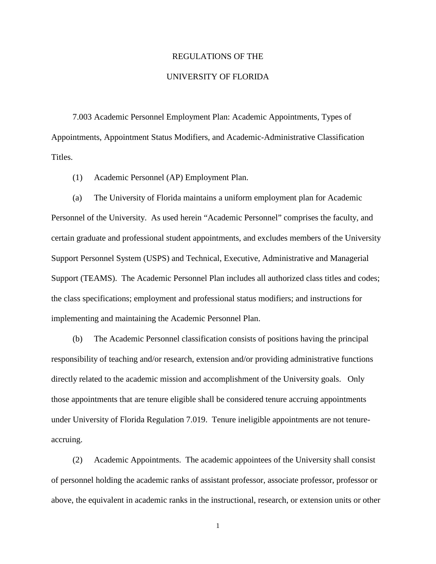## REGULATIONS OF THE

## UNIVERSITY OF FLORIDA

7.003 Academic Personnel Employment Plan: Academic Appointments, Types of Appointments, Appointment Status Modifiers, and Academic-Administrative Classification Titles.

(1) Academic Personnel (AP) Employment Plan.

(a) The University of Florida maintains a uniform employment plan for Academic Personnel of the University. As used herein "Academic Personnel" comprises the faculty, and certain graduate and professional student appointments, and excludes members of the University Support Personnel System (USPS) and Technical, Executive, Administrative and Managerial Support (TEAMS). The Academic Personnel Plan includes all authorized class titles and codes; the class specifications; employment and professional status modifiers; and instructions for implementing and maintaining the Academic Personnel Plan.

(b) The Academic Personnel classification consists of positions having the principal responsibility of teaching and/or research, extension and/or providing administrative functions directly related to the academic mission and accomplishment of the University goals. Only those appointments that are tenure eligible shall be considered tenure accruing appointments under University of Florida Regulation 7.019. Tenure ineligible appointments are not tenureaccruing.

(2) Academic Appointments. The academic appointees of the University shall consist of personnel holding the academic ranks of assistant professor, associate professor, professor or above, the equivalent in academic ranks in the instructional, research, or extension units or other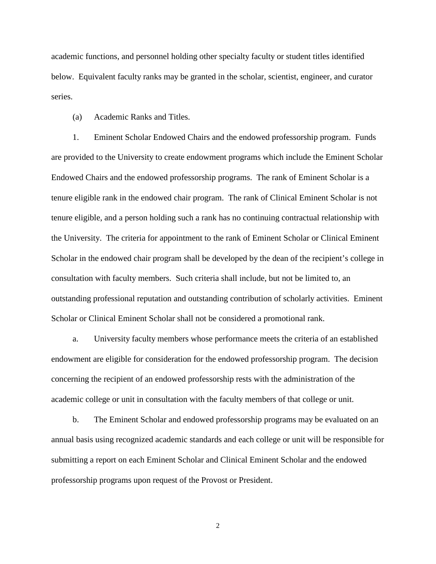academic functions, and personnel holding other specialty faculty or student titles identified below. Equivalent faculty ranks may be granted in the scholar, scientist, engineer, and curator series.

(a) Academic Ranks and Titles.

1. Eminent Scholar Endowed Chairs and the endowed professorship program. Funds are provided to the University to create endowment programs which include the Eminent Scholar Endowed Chairs and the endowed professorship programs. The rank of Eminent Scholar is a tenure eligible rank in the endowed chair program. The rank of Clinical Eminent Scholar is not tenure eligible, and a person holding such a rank has no continuing contractual relationship with the University. The criteria for appointment to the rank of Eminent Scholar or Clinical Eminent Scholar in the endowed chair program shall be developed by the dean of the recipient's college in consultation with faculty members. Such criteria shall include, but not be limited to, an outstanding professional reputation and outstanding contribution of scholarly activities. Eminent Scholar or Clinical Eminent Scholar shall not be considered a promotional rank.

a. University faculty members whose performance meets the criteria of an established endowment are eligible for consideration for the endowed professorship program. The decision concerning the recipient of an endowed professorship rests with the administration of the academic college or unit in consultation with the faculty members of that college or unit.

b. The Eminent Scholar and endowed professorship programs may be evaluated on an annual basis using recognized academic standards and each college or unit will be responsible for submitting a report on each Eminent Scholar and Clinical Eminent Scholar and the endowed professorship programs upon request of the Provost or President.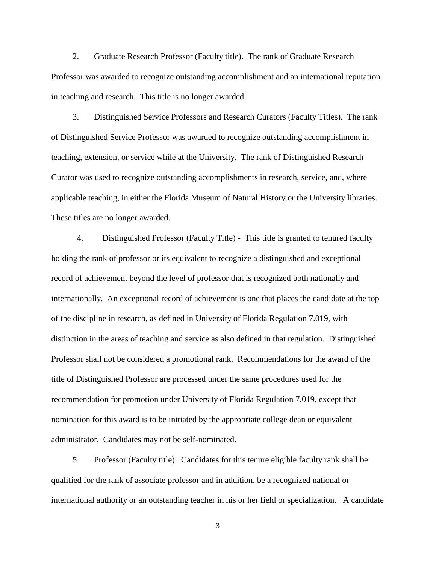2. Graduate Research Professor (Faculty title). The rank of Graduate Research Professor was awarded to recognize outstanding accomplishment and an international reputation in teaching and research. This title is no longer awarded.

3. Distinguished Service Professors and Research Curators (Faculty Titles). The rank of Distinguished Service Professor was awarded to recognize outstanding accomplishment in teaching, extension, or service while at the University. The rank of Distinguished Research Curator was used to recognize outstanding accomplishments in research, service, and, where applicable teaching, in either the Florida Museum of Natural History or the University libraries. These titles are no longer awarded.

4. Distinguished Professor (Faculty Title) - This title is granted to tenured faculty holding the rank of professor or its equivalent to recognize a distinguished and exceptional record of achievement beyond the level of professor that is recognized both nationally and internationally. An exceptional record of achievement is one that places the candidate at the top of the discipline in research, as defined in University of Florida Regulation 7.019, with distinction in the areas of teaching and service as also defined in that regulation. Distinguished Professor shall not be considered a promotional rank. Recommendations for the award of the title of Distinguished Professor are processed under the same procedures used for the recommendation for promotion under University of Florida Regulation 7.019, except that nomination for this award is to be initiated by the appropriate college dean or equivalent administrator. Candidates may not be self-nominated.

5. Professor (Faculty title). Candidates for this tenure eligible faculty rank shall be qualified for the rank of associate professor and in addition, be a recognized national or international authority or an outstanding teacher in his or her field or specialization. A candidate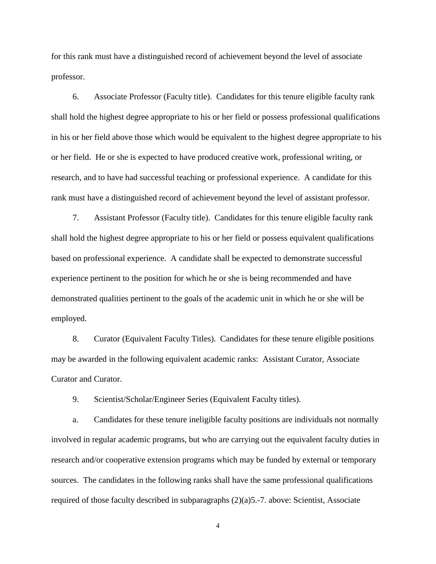for this rank must have a distinguished record of achievement beyond the level of associate professor.

6. Associate Professor (Faculty title). Candidates for this tenure eligible faculty rank shall hold the highest degree appropriate to his or her field or possess professional qualifications in his or her field above those which would be equivalent to the highest degree appropriate to his or her field. He or she is expected to have produced creative work, professional writing, or research, and to have had successful teaching or professional experience. A candidate for this rank must have a distinguished record of achievement beyond the level of assistant professor.

7. Assistant Professor (Faculty title). Candidates for this tenure eligible faculty rank shall hold the highest degree appropriate to his or her field or possess equivalent qualifications based on professional experience. A candidate shall be expected to demonstrate successful experience pertinent to the position for which he or she is being recommended and have demonstrated qualities pertinent to the goals of the academic unit in which he or she will be employed.

8. Curator (Equivalent Faculty Titles). Candidates for these tenure eligible positions may be awarded in the following equivalent academic ranks: Assistant Curator, Associate Curator and Curator.

9. Scientist/Scholar/Engineer Series (Equivalent Faculty titles).

a. Candidates for these tenure ineligible faculty positions are individuals not normally involved in regular academic programs, but who are carrying out the equivalent faculty duties in research and/or cooperative extension programs which may be funded by external or temporary sources. The candidates in the following ranks shall have the same professional qualifications required of those faculty described in subparagraphs (2)(a)5.-7. above: Scientist, Associate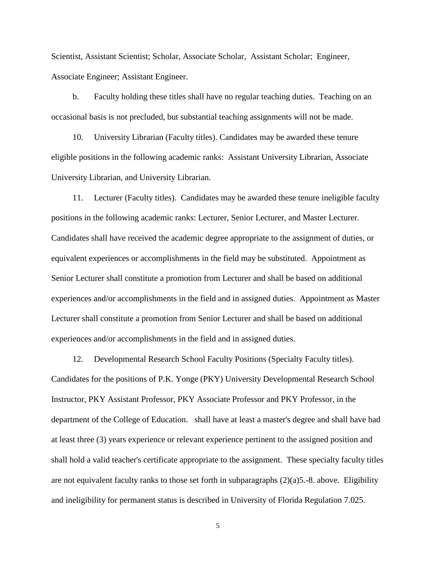Scientist, Assistant Scientist; Scholar, Associate Scholar, Assistant Scholar; Engineer, Associate Engineer; Assistant Engineer.

b. Faculty holding these titles shall have no regular teaching duties. Teaching on an occasional basis is not precluded, but substantial teaching assignments will not be made.

10. University Librarian (Faculty titles). Candidates may be awarded these tenure eligible positions in the following academic ranks: Assistant University Librarian, Associate University Librarian, and University Librarian.

11. Lecturer (Faculty titles). Candidates may be awarded these tenure ineligible faculty positions in the following academic ranks: Lecturer, Senior Lecturer, and Master Lecturer. Candidates shall have received the academic degree appropriate to the assignment of duties, or equivalent experiences or accomplishments in the field may be substituted. Appointment as Senior Lecturer shall constitute a promotion from Lecturer and shall be based on additional experiences and/or accomplishments in the field and in assigned duties. Appointment as Master Lecturer shall constitute a promotion from Senior Lecturer and shall be based on additional experiences and/or accomplishments in the field and in assigned duties.

12. Developmental Research School Faculty Positions (Specialty Faculty titles). Candidates for the positions of P.K. Yonge (PKY) University Developmental Research School Instructor, PKY Assistant Professor, PKY Associate Professor and PKY Professor, in the department of the College of Education. shall have at least a master's degree and shall have had at least three (3) years experience or relevant experience pertinent to the assigned position and shall hold a valid teacher's certificate appropriate to the assignment. These specialty faculty titles are not equivalent faculty ranks to those set forth in subparagraphs  $(2)(a)5.-8$ . above. Eligibility and ineligibility for permanent status is described in University of Florida Regulation 7.025.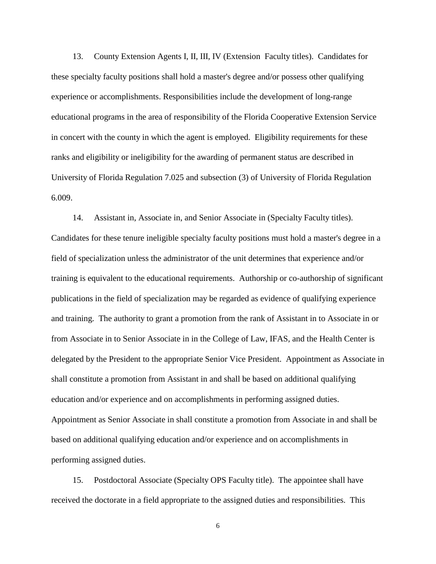13. County Extension Agents I, II, III, IV (Extension Faculty titles). Candidates for these specialty faculty positions shall hold a master's degree and/or possess other qualifying experience or accomplishments. Responsibilities include the development of long-range educational programs in the area of responsibility of the Florida Cooperative Extension Service in concert with the county in which the agent is employed. Eligibility requirements for these ranks and eligibility or ineligibility for the awarding of permanent status are described in University of Florida Regulation 7.025 and subsection (3) of University of Florida Regulation 6.009.

14. Assistant in, Associate in, and Senior Associate in (Specialty Faculty titles). Candidates for these tenure ineligible specialty faculty positions must hold a master's degree in a field of specialization unless the administrator of the unit determines that experience and/or training is equivalent to the educational requirements. Authorship or co-authorship of significant publications in the field of specialization may be regarded as evidence of qualifying experience and training. The authority to grant a promotion from the rank of Assistant in to Associate in or from Associate in to Senior Associate in in the College of Law, IFAS, and the Health Center is delegated by the President to the appropriate Senior Vice President. Appointment as Associate in shall constitute a promotion from Assistant in and shall be based on additional qualifying education and/or experience and on accomplishments in performing assigned duties. Appointment as Senior Associate in shall constitute a promotion from Associate in and shall be based on additional qualifying education and/or experience and on accomplishments in performing assigned duties.

15. Postdoctoral Associate (Specialty OPS Faculty title). The appointee shall have received the doctorate in a field appropriate to the assigned duties and responsibilities. This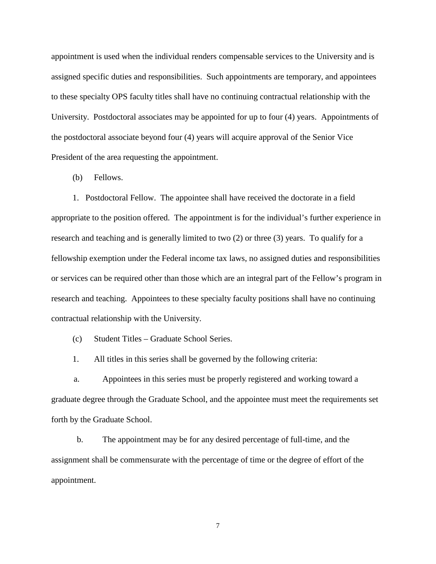appointment is used when the individual renders compensable services to the University and is assigned specific duties and responsibilities. Such appointments are temporary, and appointees to these specialty OPS faculty titles shall have no continuing contractual relationship with the University. Postdoctoral associates may be appointed for up to four (4) years. Appointments of the postdoctoral associate beyond four (4) years will acquire approval of the Senior Vice President of the area requesting the appointment.

(b) Fellows.

1. Postdoctoral Fellow. The appointee shall have received the doctorate in a field appropriate to the position offered. The appointment is for the individual's further experience in research and teaching and is generally limited to two (2) or three (3) years. To qualify for a fellowship exemption under the Federal income tax laws, no assigned duties and responsibilities or services can be required other than those which are an integral part of the Fellow's program in research and teaching. Appointees to these specialty faculty positions shall have no continuing contractual relationship with the University.

(c) Student Titles – Graduate School Series.

1. All titles in this series shall be governed by the following criteria:

a. Appointees in this series must be properly registered and working toward a graduate degree through the Graduate School, and the appointee must meet the requirements set forth by the Graduate School.

b. The appointment may be for any desired percentage of full-time, and the assignment shall be commensurate with the percentage of time or the degree of effort of the appointment.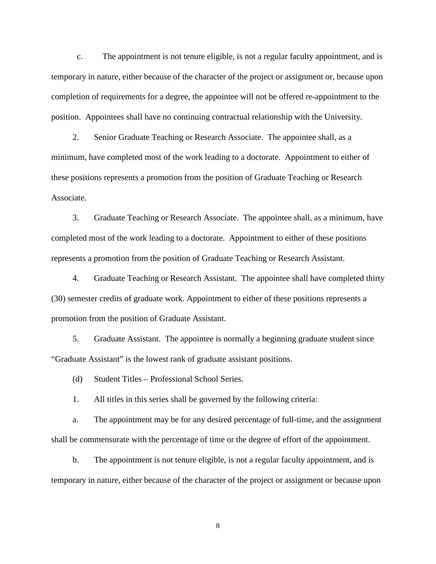c. The appointment is not tenure eligible, is not a regular faculty appointment, and is temporary in nature, either because of the character of the project or assignment or, because upon completion of requirements for a degree, the appointee will not be offered re-appointment to the position. Appointees shall have no continuing contractual relationship with the University.

2. Senior Graduate Teaching or Research Associate. The appointee shall, as a minimum, have completed most of the work leading to a doctorate. Appointment to either of these positions represents a promotion from the position of Graduate Teaching or Research Associate.

3. Graduate Teaching or Research Associate. The appointee shall, as a minimum, have completed most of the work leading to a doctorate. Appointment to either of these positions represents a promotion from the position of Graduate Teaching or Research Assistant.

4. Graduate Teaching or Research Assistant. The appointee shall have completed thirty (30) semester credits of graduate work. Appointment to either of these positions represents a promotion from the position of Graduate Assistant.

5. Graduate Assistant. The appointee is normally a beginning graduate student since "Graduate Assistant" is the lowest rank of graduate assistant positions.

(d) Student Titles – Professional School Series.

1. All titles in this series shall be governed by the following criteria:

a. The appointment may be for any desired percentage of full-time, and the assignment shall be commensurate with the percentage of time or the degree of effort of the appointment.

b. The appointment is not tenure eligible, is not a regular faculty appointment, and is temporary in nature, either because of the character of the project or assignment or because upon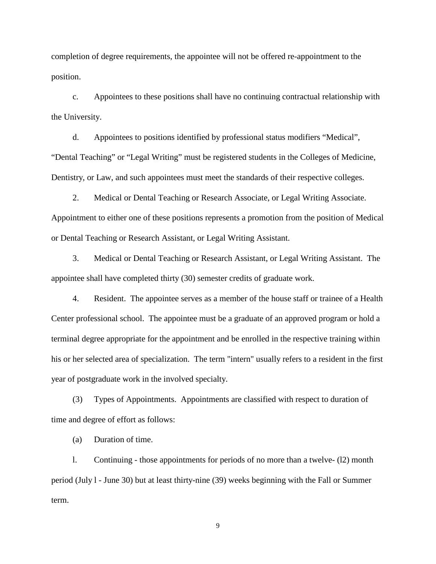completion of degree requirements, the appointee will not be offered re-appointment to the position.

c. Appointees to these positions shall have no continuing contractual relationship with the University.

d. Appointees to positions identified by professional status modifiers "Medical", "Dental Teaching" or "Legal Writing" must be registered students in the Colleges of Medicine, Dentistry, or Law, and such appointees must meet the standards of their respective colleges.

2. Medical or Dental Teaching or Research Associate, or Legal Writing Associate. Appointment to either one of these positions represents a promotion from the position of Medical or Dental Teaching or Research Assistant, or Legal Writing Assistant.

3. Medical or Dental Teaching or Research Assistant, or Legal Writing Assistant. The appointee shall have completed thirty (30) semester credits of graduate work.

4. Resident. The appointee serves as a member of the house staff or trainee of a Health Center professional school. The appointee must be a graduate of an approved program or hold a terminal degree appropriate for the appointment and be enrolled in the respective training within his or her selected area of specialization. The term "intern" usually refers to a resident in the first year of postgraduate work in the involved specialty.

(3) Types of Appointments. Appointments are classified with respect to duration of time and degree of effort as follows:

(a) Duration of time.

l. Continuing - those appointments for periods of no more than a twelve- (l2) month period (July l - June 30) but at least thirty-nine (39) weeks beginning with the Fall or Summer term.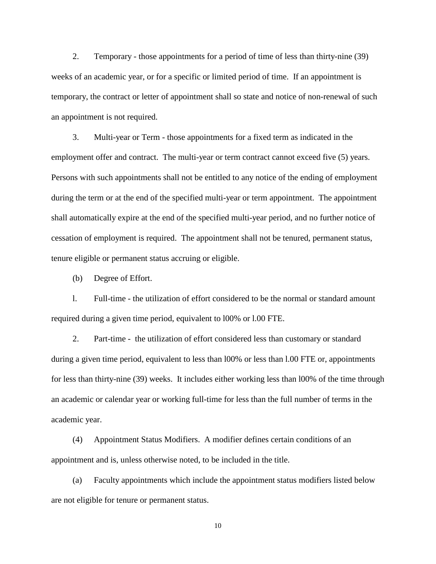2. Temporary - those appointments for a period of time of less than thirty-nine (39) weeks of an academic year, or for a specific or limited period of time. If an appointment is temporary, the contract or letter of appointment shall so state and notice of non-renewal of such an appointment is not required.

3. Multi-year or Term - those appointments for a fixed term as indicated in the employment offer and contract. The multi-year or term contract cannot exceed five (5) years. Persons with such appointments shall not be entitled to any notice of the ending of employment during the term or at the end of the specified multi-year or term appointment. The appointment shall automatically expire at the end of the specified multi-year period, and no further notice of cessation of employment is required. The appointment shall not be tenured, permanent status, tenure eligible or permanent status accruing or eligible.

(b) Degree of Effort.

l. Full-time - the utilization of effort considered to be the normal or standard amount required during a given time period, equivalent to l00% or l.00 FTE.

2. Part-time - the utilization of effort considered less than customary or standard during a given time period, equivalent to less than l00% or less than l.00 FTE or, appointments for less than thirty-nine (39) weeks. It includes either working less than l00% of the time through an academic or calendar year or working full-time for less than the full number of terms in the academic year.

(4) Appointment Status Modifiers. A modifier defines certain conditions of an appointment and is, unless otherwise noted, to be included in the title.

(a) Faculty appointments which include the appointment status modifiers listed below are not eligible for tenure or permanent status.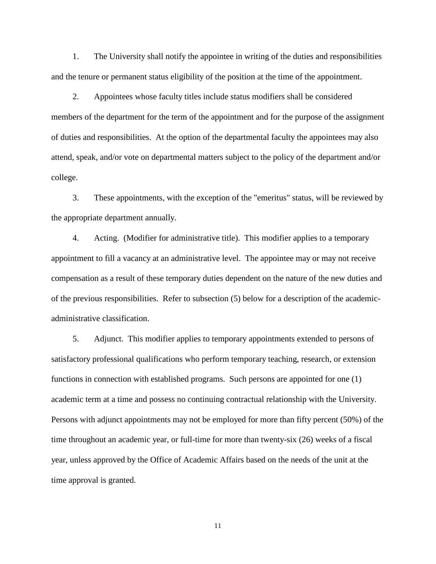1. The University shall notify the appointee in writing of the duties and responsibilities and the tenure or permanent status eligibility of the position at the time of the appointment.

2. Appointees whose faculty titles include status modifiers shall be considered members of the department for the term of the appointment and for the purpose of the assignment of duties and responsibilities. At the option of the departmental faculty the appointees may also attend, speak, and/or vote on departmental matters subject to the policy of the department and/or college.

3. These appointments, with the exception of the "emeritus" status, will be reviewed by the appropriate department annually.

4. Acting. (Modifier for administrative title). This modifier applies to a temporary appointment to fill a vacancy at an administrative level. The appointee may or may not receive compensation as a result of these temporary duties dependent on the nature of the new duties and of the previous responsibilities. Refer to subsection (5) below for a description of the academicadministrative classification.

5. Adjunct. This modifier applies to temporary appointments extended to persons of satisfactory professional qualifications who perform temporary teaching, research, or extension functions in connection with established programs. Such persons are appointed for one (1) academic term at a time and possess no continuing contractual relationship with the University. Persons with adjunct appointments may not be employed for more than fifty percent (50%) of the time throughout an academic year, or full-time for more than twenty-six (26) weeks of a fiscal year, unless approved by the Office of Academic Affairs based on the needs of the unit at the time approval is granted.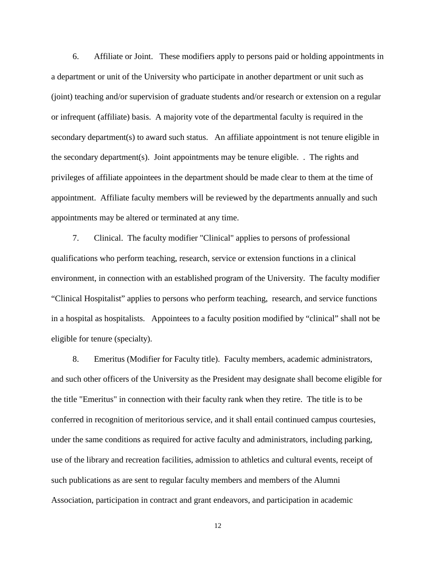6. Affiliate or Joint. These modifiers apply to persons paid or holding appointments in a department or unit of the University who participate in another department or unit such as (joint) teaching and/or supervision of graduate students and/or research or extension on a regular or infrequent (affiliate) basis. A majority vote of the departmental faculty is required in the secondary department(s) to award such status. An affiliate appointment is not tenure eligible in the secondary department(s). Joint appointments may be tenure eligible. . The rights and privileges of affiliate appointees in the department should be made clear to them at the time of appointment. Affiliate faculty members will be reviewed by the departments annually and such appointments may be altered or terminated at any time.

7. Clinical. The faculty modifier "Clinical" applies to persons of professional qualifications who perform teaching, research, service or extension functions in a clinical environment, in connection with an established program of the University. The faculty modifier "Clinical Hospitalist" applies to persons who perform teaching, research, and service functions in a hospital as hospitalists. Appointees to a faculty position modified by "clinical" shall not be eligible for tenure (specialty).

8. Emeritus (Modifier for Faculty title). Faculty members, academic administrators, and such other officers of the University as the President may designate shall become eligible for the title "Emeritus" in connection with their faculty rank when they retire. The title is to be conferred in recognition of meritorious service, and it shall entail continued campus courtesies, under the same conditions as required for active faculty and administrators, including parking, use of the library and recreation facilities, admission to athletics and cultural events, receipt of such publications as are sent to regular faculty members and members of the Alumni Association, participation in contract and grant endeavors, and participation in academic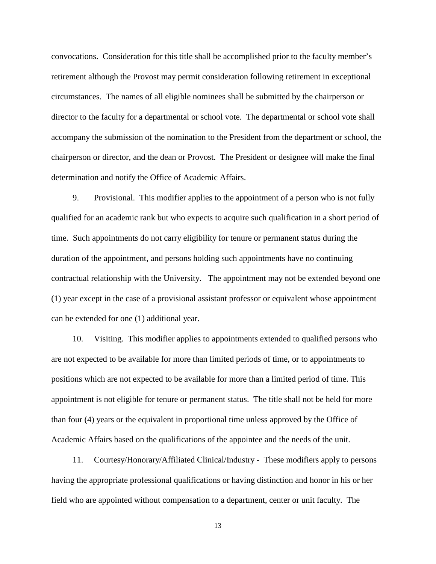convocations. Consideration for this title shall be accomplished prior to the faculty member's retirement although the Provost may permit consideration following retirement in exceptional circumstances. The names of all eligible nominees shall be submitted by the chairperson or director to the faculty for a departmental or school vote. The departmental or school vote shall accompany the submission of the nomination to the President from the department or school, the chairperson or director, and the dean or Provost. The President or designee will make the final determination and notify the Office of Academic Affairs.

9. Provisional. This modifier applies to the appointment of a person who is not fully qualified for an academic rank but who expects to acquire such qualification in a short period of time. Such appointments do not carry eligibility for tenure or permanent status during the duration of the appointment, and persons holding such appointments have no continuing contractual relationship with the University. The appointment may not be extended beyond one (1) year except in the case of a provisional assistant professor or equivalent whose appointment can be extended for one (1) additional year.

10. Visiting. This modifier applies to appointments extended to qualified persons who are not expected to be available for more than limited periods of time, or to appointments to positions which are not expected to be available for more than a limited period of time. This appointment is not eligible for tenure or permanent status. The title shall not be held for more than four (4) years or the equivalent in proportional time unless approved by the Office of Academic Affairs based on the qualifications of the appointee and the needs of the unit.

11. Courtesy/Honorary/Affiliated Clinical/Industry - These modifiers apply to persons having the appropriate professional qualifications or having distinction and honor in his or her field who are appointed without compensation to a department, center or unit faculty. The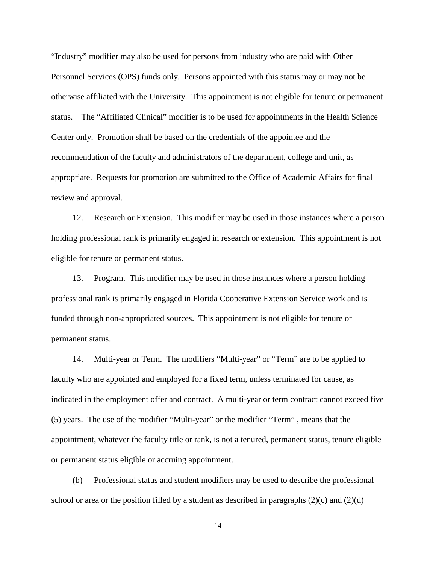"Industry" modifier may also be used for persons from industry who are paid with Other Personnel Services (OPS) funds only. Persons appointed with this status may or may not be otherwise affiliated with the University. This appointment is not eligible for tenure or permanent status. The "Affiliated Clinical" modifier is to be used for appointments in the Health Science Center only. Promotion shall be based on the credentials of the appointee and the recommendation of the faculty and administrators of the department, college and unit, as appropriate. Requests for promotion are submitted to the Office of Academic Affairs for final review and approval.

12. Research or Extension. This modifier may be used in those instances where a person holding professional rank is primarily engaged in research or extension. This appointment is not eligible for tenure or permanent status.

13. Program. This modifier may be used in those instances where a person holding professional rank is primarily engaged in Florida Cooperative Extension Service work and is funded through non-appropriated sources. This appointment is not eligible for tenure or permanent status.

14. Multi-year or Term. The modifiers "Multi-year" or "Term" are to be applied to faculty who are appointed and employed for a fixed term, unless terminated for cause, as indicated in the employment offer and contract. A multi-year or term contract cannot exceed five (5) years. The use of the modifier "Multi-year" or the modifier "Term" , means that the appointment, whatever the faculty title or rank, is not a tenured, permanent status, tenure eligible or permanent status eligible or accruing appointment.

(b) Professional status and student modifiers may be used to describe the professional school or area or the position filled by a student as described in paragraphs  $(2)(c)$  and  $(2)(d)$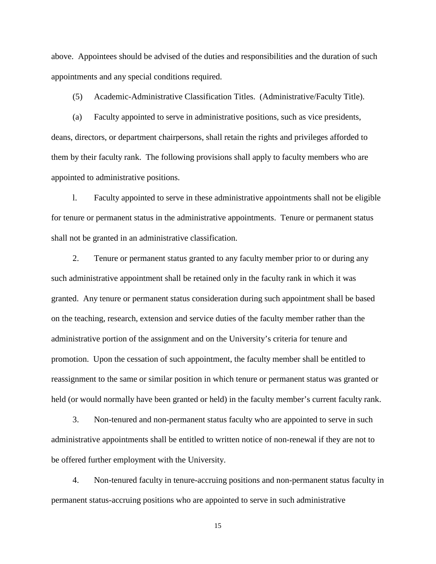above. Appointees should be advised of the duties and responsibilities and the duration of such appointments and any special conditions required.

(5) Academic-Administrative Classification Titles. (Administrative/Faculty Title).

(a) Faculty appointed to serve in administrative positions, such as vice presidents, deans, directors, or department chairpersons, shall retain the rights and privileges afforded to them by their faculty rank. The following provisions shall apply to faculty members who are appointed to administrative positions.

l. Faculty appointed to serve in these administrative appointments shall not be eligible for tenure or permanent status in the administrative appointments. Tenure or permanent status shall not be granted in an administrative classification.

2. Tenure or permanent status granted to any faculty member prior to or during any such administrative appointment shall be retained only in the faculty rank in which it was granted. Any tenure or permanent status consideration during such appointment shall be based on the teaching, research, extension and service duties of the faculty member rather than the administrative portion of the assignment and on the University's criteria for tenure and promotion. Upon the cessation of such appointment, the faculty member shall be entitled to reassignment to the same or similar position in which tenure or permanent status was granted or held (or would normally have been granted or held) in the faculty member's current faculty rank.

3. Non-tenured and non-permanent status faculty who are appointed to serve in such administrative appointments shall be entitled to written notice of non-renewal if they are not to be offered further employment with the University.

4. Non-tenured faculty in tenure-accruing positions and non-permanent status faculty in permanent status-accruing positions who are appointed to serve in such administrative